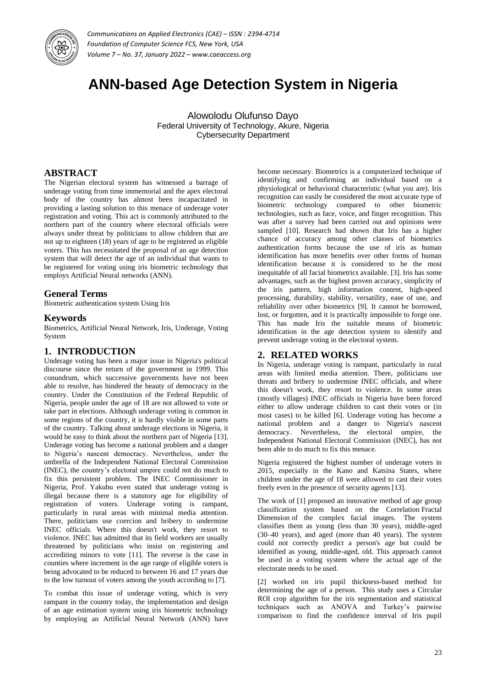

# **ANN-based Age Detection System in Nigeria**

Alowolodu Olufunso Dayo Federal University of Technology, Akure, Nigeria Cybersecurity Department

## **ABSTRACT**

The Nigerian electoral system has witnessed a barrage of underage voting from time immemorial and the apex electoral body of the country has almost been incapacitated in providing a lasting solution to this menace of underage voter registration and voting. This act is commonly attributed to the northern part of the country where electoral officials were always under threat by politicians to allow children that are not up to eighteen (18) years of age to be registered as eligible voters. This has necessitated the proposal of an age detection system that will detect the age of an individual that wants to be registered for voting using iris biometric technology that employs Artificial Neural networks (ANN).

# **General Terms**

Biometric authentication system Using Iris

#### **Keywords**

Biometrics, Artificial Neural Network, Iris, Underage, Voting System

# **1. INTRODUCTION**

Underage voting has been a major issue in Nigeria's political discourse since the return of the government in 1999. This conundrum, which successive governments have not been able to resolve, has hindered the beauty of democracy in the country. Under the Constitution of the Federal Republic of Nigeria, people under the age of 18 are not allowed to vote or take part in elections. Although underage voting is common in some regions of the country, it is hardly visible in some parts of the country. Talking about underage elections in Nigeria, it would be easy to think about the northern part of Nigeria [13]. Underage voting has become a national problem and a danger to Nigeria's nascent democracy. Nevertheless, under the umbrella of the Independent National Electoral Commission (INEC), the country's electoral umpire could not do much to fix this persistent problem. The INEC Commissioner in Nigeria, Prof. Yakubu even stated that underage voting is illegal because there is a statutory age for eligibility of registration of voters. Underage voting is rampant, particularly in rural areas with minimal media attention. There, politicians use coercion and bribery to undermine INEC officials. Where this doesn't work, they resort to violence. INEC has admitted that its field workers are usually threatened by politicians who insist on registering and accrediting minors to vote [11]. The reverse is the case in counties where increment in the age range of eligible voters is being advocated to be reduced to between 16 and 17 years due to the low turnout of voters among the youth according to [7].

To combat this issue of underage voting, which is very rampant in the country today, the implementation and design of an age estimation system using iris biometric technology by employing an Artificial Neural Network (ANN) have

become necessary. Biometrics is a computerized technique of identifying and confirming an individual based on a physiological or behavioral characteristic (what you are). Iris recognition can easily be considered the most accurate type of biometric technology compared to other biometric technologies, such as face, voice, and finger recognition. This was after a survey had been carried out and opinions were sampled [10]. Research had shown that Iris has a higher chance of accuracy among other classes of biometrics authentication forms because the use of iris as human identification has more benefits over other forms of human identification because it is considered to be the most inequitable of all facial biometrics available. [3]. Iris has some advantages, such as the highest proven accuracy, simplicity of the iris pattern, high information content, high-speed processing, durability, stability, versatility, ease of use, and reliability over other biometrics [9]. It cannot be borrowed, lost, or forgotten, and it is practically impossible to forge one. This has made Iris the suitable means of biometric identification in the age detection system to identify and prevent underage voting in the electoral system.

### **2. RELATED WORKS**

In Nigeria, underage voting is rampant, particularly in rural areas with limited media attention. There, politicians use threats and bribery to undermine INEC officials, and where this doesn't work, they resort to violence. In some areas (mostly villages) INEC officials in Nigeria have been forced either to allow underage children to cast their votes or (in most cases) to be killed [6]. Underage voting has become a national problem and a danger to Nigeria's nascent democracy. Nevertheless, the electoral umpire, the Independent National Electoral Commission (INEC), has not been able to do much to fix this menace.

Nigeria registered the highest number of underage voters in 2015, especially in the Kano and Katsina States, where children under the age of 18 were allowed to cast their votes freely even in the presence of security agents [13].

The work of [1] proposed an innovative method of age group classification system based on the Correlation [Fractal](https://www.sciencedirect.com/topics/computer-science/fractal-dimension)  [Dimension](https://www.sciencedirect.com/topics/computer-science/fractal-dimension) of the complex facial images. The system classifies them as young (less than 30 years), middle-aged (30–40 years), and aged (more than 40 years). The system could not correctly predict a person's age but could be identified as young, middle-aged, old. This approach cannot be used in a voting system where the actual age of the electorate needs to be used.

[2] worked on iris pupil thickness-based method for determining the age of a person. This study uses a Circular ROI crop algorithm for the iris segmentation and statistical techniques such as ANOVA and Turkey's pairwise comparison to find the confidence interval of Iris pupil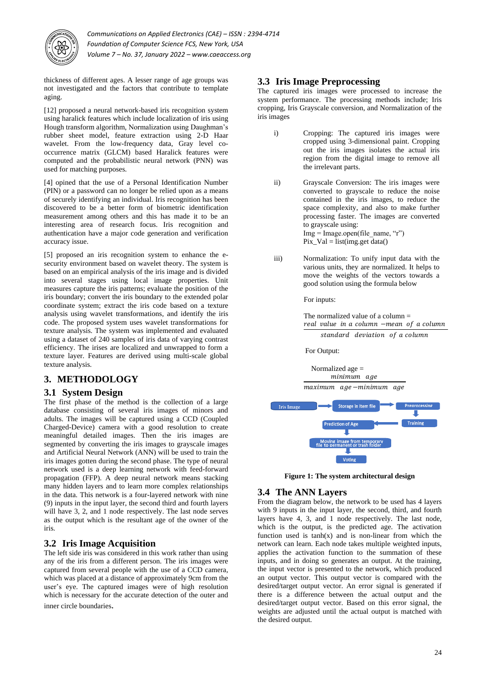

thickness of different ages. A lesser range of age groups was not investigated and the factors that contribute to template aging.

[12] proposed a neural network-based iris recognition system using haralick features which include localization of iris using Hough transform algorithm, Normalization using Daughman's rubber sheet model, feature extraction using 2-D Haar wavelet. From the low-frequency data, Gray level cooccurrence matrix (GLCM) based Haralick features were computed and the probabilistic neural network (PNN) was used for matching purposes.

[4] opined that the use of a Personal Identification Number (PIN) or a password can no longer be relied upon as a means of securely identifying an individual. Iris recognition has been discovered to be a better form of biometric identification measurement among others and this has made it to be an interesting area of research focus. Iris recognition and authentication have a major code generation and verification accuracy issue.

[5] proposed an iris recognition system to enhance the esecurity environment based on wavelet theory. The system is based on an empirical analysis of the iris image and is divided into several stages using local image properties. Unit measures capture the iris patterns; evaluate the position of the iris boundary; convert the iris boundary to the extended polar coordinate system; extract the iris code based on a texture analysis using wavelet transformations, and identify the iris code. The proposed system uses wavelet transformations for texture analysis. The system was implemented and evaluated using a dataset of 240 samples of iris data of varying contrast efficiency. The irises are localized and unwrapped to form a texture layer. Features are derived using multi-scale global texture analysis.

# **3. METHODOLOGY**

## **3.1 System Design**

The first phase of the method is the collection of a large database consisting of several iris images of minors and adults. The images will be captured using a CCD (Coupled Charged-Device) camera with a good resolution to create meaningful detailed images. Then the iris images are segmented by converting the iris images to grayscale images and Artificial Neural Network (ANN) will be used to train the iris images gotten during the second phase. The type of neural network used is a deep learning network with feed-forward propagation (FFP). A deep neural network means stacking many hidden layers and to learn more complex relationships in the data. This network is a four-layered network with nine (9) inputs in the input layer, the second third and fourth layers will have 3, 2, and 1 node respectively. The last node serves as the output which is the resultant age of the owner of the iris.

### **3.2 Iris Image Acquisition**

The left side iris was considered in this work rather than using any of the iris from a different person. The iris images were captured from several people with the use of a CCD camera, which was placed at a distance of approximately 9cm from the user's eye. The captured images were of high resolution which is necessary for the accurate detection of the outer and inner circle boundaries.

#### **3.3 Iris Image Preprocessing**

The captured iris images were processed to increase the system performance. The processing methods include; Iris cropping, Iris Grayscale conversion, and Normalization of the iris images

- i) Cropping: The captured iris images were cropped using 3-dimensional paint. Cropping out the iris images isolates the actual iris region from the digital image to remove all the irrelevant parts.
- ii) Grayscale Conversion: The iris images were converted to grayscale to reduce the noise contained in the iris images, to reduce the space complexity, and also to make further processing faster. The images are converted to grayscale using:  $Im g = Im age.open(file name, "r")$ Pix\_Val = list(img.get data()
- iii) Normalization: To unify input data with the various units, they are normalized. It helps to move the weights of the vectors towards a good solution using the formula below

For inputs:

The normalized value of a column = real value in a column -mean of a column standard deviation of a column

For Output:



**Figure 1: The system architectural design**

# **3.4 The ANN Layers**

From the diagram below, the network to be used has 4 layers with 9 inputs in the input layer, the second, third, and fourth layers have 4, 3, and 1 node respectively. The last node, which is the output, is the predicted age. The activation function used is  $tanh(x)$  and is non-linear from which the network can learn. Each node takes multiple weighted inputs, applies the activation function to the summation of these inputs, and in doing so generates an output. At the training, the input vector is presented to the network, which produced an output vector. This output vector is compared with the desired/target output vector. An error signal is generated if there is a difference between the actual output and the desired/target output vector. Based on this error signal, the weights are adjusted until the actual output is matched with the desired output.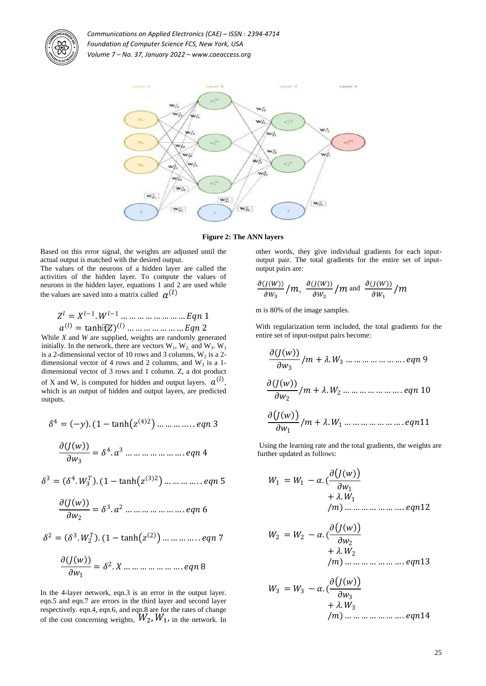



**Figure 2: The ANN layers**

Based on this error signal, the weights are adjusted until the actual output is matched with the desired output.

The values of the neurons of a hidden layer are called the activities of the hidden layer. To compute the values of neurons in the hidden layer, equations 1 and 2 are used while the values are saved into a matrix called  $a^{(l)}$ 

$$
Z^{l} = X^{l-1} \cdot W^{l-1} \dots \dots \dots \dots \dots \dots \dots \dots Eqn 1
$$
  

$$
a^{(l)} = \tanh[\mathbb{E}[Z]^{(l)} \dots \dots \dots \dots \dots \dots \dots Eqn 2]
$$

While *X* and *W* are supplied, weights are randomly generated initially. In the network, there are vectors  $W_1$ ,  $W_2$  and  $W_3$ .  $W_1$ is a 2-dimensional vector of 10 rows and 3 columns,  $W_2$  is a 2dimensional vector of 4 rows and 2 columns, and  $W_3$  is a 1dimensional vector of 3 rows and 1 column. Z, a dot product of X and W, is computed for hidden and output layers.  $a^{(l)}$ , which is an output of hidden and output layers, are predicted outputs.

 <sup>4</sup> = − . (1 − tanh 4 2 … … … … . . 3 ( ) = 4 . <sup>3</sup> … … … … … … … . 4

$$
OW_3
$$
  

$$
B = (84 \text{ W}^T) (1 - \tanh(\tau^{(3)2}))
$$

 $\Omega$ 

 <sup>3</sup> = 4 . <sup>3</sup> . (1 − tanh 3 2 … … … … . . 5

( ) <sup>2</sup> = 3 . <sup>2</sup> … … … … … … … . 6

$$
\delta^2 = (\delta^3.W_2^T) \cdot (1 - \tanh(z^{(2)}) \dots \dots \dots \dots \dots eqn \, 7
$$

( ) <sup>1</sup> = 2 . … … … … … … … . 8

In the 4-layer network, eqn.3 is an error in the output layer. eqn.5 and eqn.7 are errors in the third layer and second layer respectively. eqn.4, eqn.6, and eqn.8 are for the rates of change of the cost concerning weights,  $W_2$ ,  $W_1$ , in the network. In other words, they give individual gradients for each inputoutput pair. The total gradients for the entire set of inputoutput pairs are:

$$
\frac{\partial (J(W))}{\partial W_3}/m, \frac{\partial (J(W))}{\partial W_2}/m \text{ and } \frac{\partial (J(W))}{\partial W_1}/m
$$

m is 80% of the image samples.

With regularization term included, the total gradients for the entire set of input-output pairs become:

( ) <sup>3</sup> / + . <sup>3</sup> … … … … … … … . 9 ( ) <sup>2</sup> / + . <sup>2</sup> … … … … … … … . 10 <sup>1</sup> / + . <sup>1</sup> … … … … … … … . 11

Using the learning rate and the total gradients, the weights are further updated as follows:

<sup>1</sup> = <sup>1</sup> − . ( <sup>1</sup> + . <sup>1</sup> /) … … … … … … … . 12

<sup>2</sup> = <sup>2</sup> − . ( <sup>2</sup> + . <sup>2</sup> /) … … … … … … … . 13

$$
W_3 = W_3 - \alpha \cdot \frac{\partial (J(w))}{\partial w_3} + \lambda \cdot W_3
$$
  
\n
$$
/m) \dots \dots \dots \dots \dots \dots \dots \dots \dots \dots \dots
$$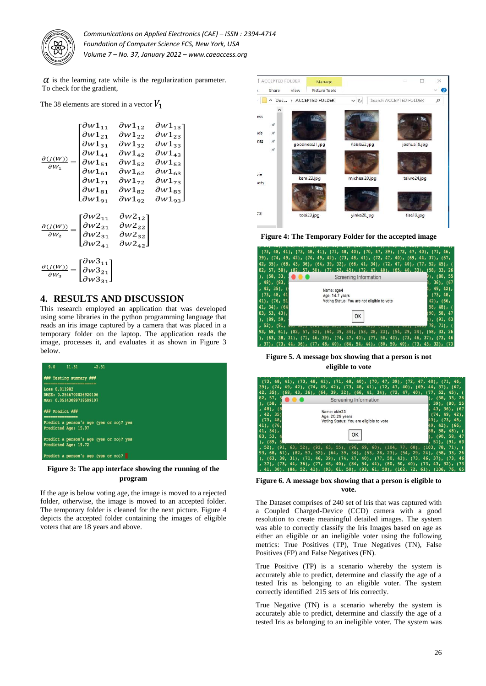

 $\alpha$  is the learning rate while is the regularization parameter. To check for the gradient,

The 38 elements are stored in a vector  $V_1$ 

| $\partial$ ( <i>J</i> ( <i>W</i> ))<br>$\partial W_1$                                                                                   | $\partial W1_{11}$                           | $\partial W1_{12}$ | $\partial W1_{13}$ |
|-----------------------------------------------------------------------------------------------------------------------------------------|----------------------------------------------|--------------------|--------------------|
|                                                                                                                                         | $\partial w1_{21}$                           | $\partial w1_{22}$ | $\partial w1_{23}$ |
|                                                                                                                                         | $\partial w1_{31}$                           | $\partial w1_{32}$ | $\partial w1_{33}$ |
|                                                                                                                                         | $\partial w1_{41}$                           | $\partial W1_{42}$ | $\partial w1_{43}$ |
|                                                                                                                                         | $\partial w1_{51}$                           | $\partial W1_{52}$ | $\partial w1_{53}$ |
|                                                                                                                                         | $\partial w1_{61}$                           | $\partial w1_{62}$ | $\partial w1_{63}$ |
|                                                                                                                                         | $\partial w1_{71}$                           | $\partial W1_{72}$ | $\partial w1_{73}$ |
|                                                                                                                                         | $\partial w1_{81}$                           | $\partial W1_{82}$ | $\partial w1_{83}$ |
|                                                                                                                                         | $\partial W1_{91}$                           | $\partial W1_{92}$ | $\partial W1_{93}$ |
|                                                                                                                                         |                                              |                    |                    |
|                                                                                                                                         | $\partial W2_{11}$                           | $\partial W2_{12}$ |                    |
| $\partial$ ( <i>J</i> ( <i>W</i> ))<br>$\partial W_2$                                                                                   | $\partial w2_{21}$                           | $\partial W2_{22}$ |                    |
|                                                                                                                                         | $\partial w2_{31}$                           | $\partial W2_{32}$ |                    |
|                                                                                                                                         | $\partial W2_{41}$                           | $\partial W2_{42}$ |                    |
|                                                                                                                                         |                                              |                    |                    |
| $\frac{\partial (J(W))}{\partial W_3} = \begin{vmatrix} 0 & 0 & 0 & 0 \\ 0 & 0 & 0 & 0 \\ 0 & 0 & 0 & 0 \\ 0 & 0 & 0 & 0 \end{vmatrix}$ | $\partial W3_{11}$                           |                    |                    |
|                                                                                                                                         |                                              |                    |                    |
|                                                                                                                                         | $\left\lfloor \partial w3_{31}\right\rfloor$ |                    |                    |

## **4. RESULTS AND DISCUSSION**

This research employed an application that was developed using some libraries in the python programming language that reads an iris image captured by a camera that was placed in a temporary folder on the laptop. The application reads the image, processes it, and evaluates it as shown in Figure 3 below.



**Figure 3: The app interface showing the running of the program**

If the age is below voting age, the image is moved to a rejected folder, otherwise, the image is moved to an accepted folder. The temporary folder is cleaned for the next picture. Figure 4 depicts the accepted folder containing the images of eligible voters that are 18 years and above.



**Figure 4: The Temporary Folder for the accepted image**

|                             | $(73, 48, 41)$ , $(73, 48, 41)$ , $(71, 48, 40)$ , $(70, 47, 39)$ , $(72, 47, 40)$ , $(71, 46,$   |               |
|-----------------------------|---------------------------------------------------------------------------------------------------|---------------|
|                             | 39), (74, 49, 42), (74, 49, 42), (73, 48, 41), (72, 47, 40), (69, 44, 37), (67,                   |               |
|                             | $42, 35$ , $(68, 43, 36)$ , $(64, 39, 32)$ , $(66, 41, 34)$ , $(72, 47, 40)$ , $(77, 52, 45)$ , ( |               |
|                             | 82, 57, 50), (82, 57, 50), (77, 52, 45), (72, 47, 40), (65, 40, 33), (58, 33, 26                  |               |
| ), (58, 33,                 | Screening Information                                                                             | )), (80, 55   |
| $, 48)$ , $(83)$            |                                                                                                   | $36$ ), (67   |
| $, 42, 35)$ , (             | Name: age4                                                                                        | $1.49.42$ .   |
| (73, 48, 41)                | Age: 14.7 years                                                                                   | (73, 48,      |
| 41), (76, 51                | Voting Status: You are not eligible to vote                                                       | $42$ , $(66,$ |
| $41, 34$ , $(64)$           |                                                                                                   | $58, 48$ , (  |
| $83, 53, 43$ ,              |                                                                                                   | 90, 58, 47    |
| ), (89, 59,                 |                                                                                                   | 1, (91, 63)   |
| , 52), (91, 0 <del>3,</del> |                                                                                                   | $78, 71$ , (  |
|                             | 93, 68, 61), (82, 57, 52), (64, 39, 34), (53, 28, 23), (54, 29, 24), (58, 33, 26                  |               |
|                             | ), (63, 38, 31), (71, 46, 39), (74, 47, 40), (77, 50, 43), (73, 46, 37), (73, 46                  |               |
|                             | , 37), (73, 44, 36), (77, 48, 40), (84, 54, 44), (80, 50, 40), (73, 43, 32), (73                  |               |

**Figure 5. A message box showing that a person is not eligible to vote**

|                   | $(73, 48, 41)$ , $(73, 48, 41)$ , $(71, 48, 40)$ , $(70, 47, 39)$ , $(72, 47, 40)$ , $(71, 46,$ |                                     |
|-------------------|-------------------------------------------------------------------------------------------------|-------------------------------------|
|                   | 39), (74, 49, 42), (74, 49, 42), (73, 48, 41), (72, 47, 40), (69, 44, 37), (67,                 |                                     |
|                   | 42, 35), (68, 43, 36), (64, 39, 32), (66, 41, 34), (72, 47, 40), (77, 52, 45), (                |                                     |
| 82.57.<br>5       | Screening Information                                                                           | ), (58, 33, 26                      |
| ), (58,           |                                                                                                 | $39$ ), $(80, 55)$                  |
| $, 48)$ , $(8)$   | Name: akin23                                                                                    | 43, 36), (67                        |
| , 42, 351         | Age: 20.29 years                                                                                | $(74, 49, 42)$ ,                    |
| (73, 48,          | Voting Status: You are eligible to vote                                                         | 43), (73, 48,                       |
| $41$ , $(76,$     |                                                                                                 | 49, 42), (66,                       |
| $41, 34$ .        |                                                                                                 | 88, 58, 48), (                      |
| 83, 53,<br>1.689. |                                                                                                 | i, (90, 58, 47<br>$51$ , $(91, 63)$ |
|                   | , 52), (91, 63, 52), (92, 63, 55), (96, 69, 60), (104, 77, 68), (103, 78, 71), (                |                                     |
|                   | 93, 68, 61), (82, 57, 52), (64, 39, 34), (53, 28, 23), (54, 29, 24), (58, 33, 26                |                                     |
|                   | ), (63, 38, 31), (71, 46, 39), (74, 47, 40), (77, 50, 43), (73, 46, 37), (73, 46                |                                     |
|                   | , 37), (73, 44, 36), (77, 48, 40), (84, 54, 44), (80, 50, 40), (73, 43, 32), (73                |                                     |
|                   | , 41, 30), (84, 52, 41), (93, 61, 50), (93, 61, 50), (102, 72, 61), (106, 76, 65                |                                     |

**Figure 6. A message box showing that a person is eligible to vote.**

The Dataset comprises of 240 set of Iris that was captured with a Coupled Charged-Device (CCD) camera with a good resolution to create meaningful detailed images. The system was able to correctly classify the Iris Images based on age as either an eligible or an ineligible voter using the following metrics: True Positives (TP), True Negatives (TN), False Positives (FP) and False Negatives (FN).

True Positive (TP) is a scenario whereby the system is accurately able to predict, determine and classify the age of a tested Iris as belonging to an eligible voter. The system correctly identified 215 sets of Iris correctly.

True Negative (TN) is a scenario whereby the system is accurately able to predict, determine and classify the age of a tested Iris as belonging to an ineligible voter. The system was